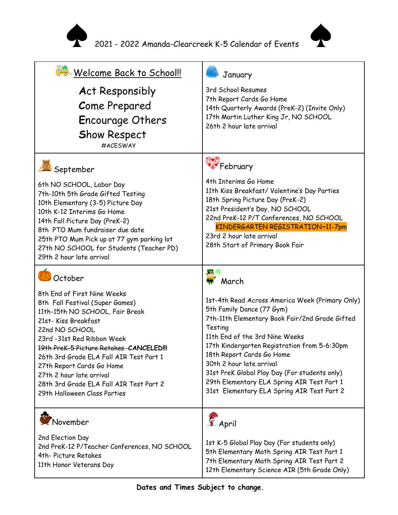



| Welcome Back to School!!                                                                                                                                                                                                                                                                                                                                                                           | January                                                                                                                                                                                                                                                                                                                                                                                                                           |
|----------------------------------------------------------------------------------------------------------------------------------------------------------------------------------------------------------------------------------------------------------------------------------------------------------------------------------------------------------------------------------------------------|-----------------------------------------------------------------------------------------------------------------------------------------------------------------------------------------------------------------------------------------------------------------------------------------------------------------------------------------------------------------------------------------------------------------------------------|
| <b>Act Responsibly</b><br><b>Come Prepared</b><br><b>Encourage Others</b><br><b>Show Respect</b><br>#ACESWAY                                                                                                                                                                                                                                                                                       | 3rd School Resumes<br>7th Report Cards Go Home<br>14th Quarterly Awards (PreK-2) (Invite Only)<br>17th Martin Luther King Jr, NO SCHOOL<br>26th 2 hour late arrival                                                                                                                                                                                                                                                               |
| September                                                                                                                                                                                                                                                                                                                                                                                          | **February                                                                                                                                                                                                                                                                                                                                                                                                                        |
| 6th NO SCHOOL, Labor Day<br>7th-10th 5th Grade Gifted Testing<br>10th Elementary (3-5) Picture Day<br>10th K-12 Interims Go Home<br>14th Fall Picture Day (PreK-2)<br>8th PTO Mum fundraiser due date<br>25th PTO Mum Pick up at 77 gym parking lot<br>27th NO SCHOOL for Students (Teacher PD)<br>29th 2 hour late arrival                                                                        | 4th Interims Go Home<br>11th Kiss Breakfast/ Valentine's Day Parties<br>18th Spring Picture Day (PreK-2)<br>21st President's Day, NO SCHOOL<br>22nd PreK-12 P/T Conferences, NO SCHOOL<br>KINDERGARTEN REGISTRATION~11-7pm<br>23rd 2 hour late arrival<br>28th Start of Primary Book Fair                                                                                                                                         |
| October                                                                                                                                                                                                                                                                                                                                                                                            | <b>In C</b><br>$\mathbf{H}$ March                                                                                                                                                                                                                                                                                                                                                                                                 |
| 8th End of First Nine Weeks<br>8th Fall Festival (Super Games)<br>11th-15th NO SCHOOL, Fair Break<br>21st-Kiss Breakfast<br>22nd NO SCHOOL<br>23rd -31st Red Ribbon Week<br>19th Prek-5 Picture Retakes CANCELED!!!<br>26th 3rd Grade ELA Fall AIR Test Part 1<br>27th Report Cards Go Home<br>27th 2 hour late arrival<br>28th 3rd Grade ELA Fall AIR Test Part 2<br>29th Halloween Class Parties | 1st-4th Read Across America Week (Primary Only)<br>5th Family Dance (77 Gym)<br>7th-11th Elementary Book Fair/2nd Grade Gifted<br>Testing<br>11th End of the 3rd Nine Weeks<br>17th Kindergarten Registration from 5-6:30pm<br>18th Report Cards Go Home<br>30th 2 hour late arrival<br>31st PreK Global Play Day (For students only)<br>29th Elementary ELA Spring AIR Test Part 1<br>31st Elementary ELA Spring AIR Test Part 2 |
| November                                                                                                                                                                                                                                                                                                                                                                                           | April                                                                                                                                                                                                                                                                                                                                                                                                                             |
| 2nd Election Day<br>2nd PreK-12 P/Teacher Conferences, NO SCHOOL<br>4th-Picture Retakes<br>11th Honor Veterans Day                                                                                                                                                                                                                                                                                 | 1st K-5 Global Play Day (For students only)<br>5th Elementary Math Spring AIR Test Part 1<br>7th Elementary Math Spring AIR Test Part 2<br>12th Elementary Science AIR (5th Grade Only)                                                                                                                                                                                                                                           |